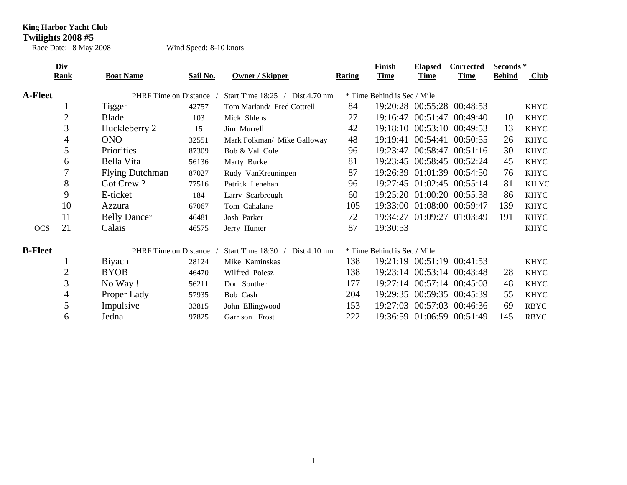## **King Harbor Yacht Club**

**Twilights 2008 #5**

Race Date: 8 May 2008 Wind Speed: 8-10 knots

|                | Div              |                              |          |                                      |        | <b>Finish</b>               | <b>Elapsed</b>    | <b>Corrected</b>           | Seconds *     |             |  |
|----------------|------------------|------------------------------|----------|--------------------------------------|--------|-----------------------------|-------------------|----------------------------|---------------|-------------|--|
|                | Rank             | <b>Boat Name</b>             | Sail No. | <b>Owner / Skipper</b>               | Rating | <b>Time</b>                 | <b>Time</b>       | <b>Time</b>                | <b>Behind</b> | Club        |  |
| <b>A-Fleet</b> |                  | <b>PHRF</b> Time on Distance |          | Start Time 18:25 / Dist.4.70 nm      |        | * Time Behind is Sec / Mile |                   |                            |               |             |  |
|                | $\mathbf{I}$     | Tigger                       | 42757    | Tom Marland/ Fred Cottrell           | 84     |                             |                   | 19:20:28 00:55:28 00:48:53 |               | <b>KHYC</b> |  |
|                | 2                | Blade                        | 103      | Mick Shlens                          | 27     | 19:16:47                    |                   | 00:51:47 00:49:40          | 10            | <b>KHYC</b> |  |
|                | 3                | Huckleberry 2                | 15       | Jim Murrell                          | 42     |                             |                   | 19:18:10 00:53:10 00:49:53 | 13            | <b>KHYC</b> |  |
|                | $\overline{4}$   | <b>ONO</b>                   | 32551    | Mark Folkman/ Mike Galloway          | 48     | 19:19:41                    |                   | 00:54:41 00:50:55          | 26            | <b>KHYC</b> |  |
|                | 5                | Priorities                   | 87309    | Bob & Val Cole                       | 96     | 19:23:47                    |                   | 00:58:47 00:51:16          | 30            | <b>KHYC</b> |  |
|                | 6                | Bella Vita                   | 56136    | Marty Burke                          | 81     |                             |                   | 19:23:45 00:58:45 00:52:24 | 45            | <b>KHYC</b> |  |
|                | $\boldsymbol{7}$ | <b>Flying Dutchman</b>       | 87027    | Rudy VanKreuningen                   | 87     |                             |                   | 19:26:39 01:01:39 00:54:50 | 76            | <b>KHYC</b> |  |
|                | 8                | Got Crew?                    | 77516    | Patrick Lenehan                      | 96     |                             |                   | 19:27:45 01:02:45 00:55:14 | 81            | <b>KHYC</b> |  |
|                | 9                | E-ticket                     | 184      | Larry Scarbrough                     | 60     |                             |                   | 19:25:20 01:00:20 00:55:38 | 86            | <b>KHYC</b> |  |
|                | 10               | Azzura                       | 67067    | Tom Cahalane                         | 105    |                             |                   | 19:33:00 01:08:00 00:59:47 | 139           | <b>KHYC</b> |  |
|                | 11               | <b>Belly Dancer</b>          | 46481    | Josh Parker                          | 72     |                             | 19:34:27 01:09:27 | 01:03:49                   | 191           | <b>KHYC</b> |  |
| <b>OCS</b>     | 21               | Calais                       | 46575    | Jerry Hunter                         | 87     | 19:30:53                    |                   |                            |               | <b>KHYC</b> |  |
| <b>B-Fleet</b> |                  | PHRF Time on Distance        |          | Start Time $18:30$ /<br>Dist.4.10 nm |        | * Time Behind is Sec / Mile |                   |                            |               |             |  |
|                |                  | Biyach                       | 28124    | Mike Kaminskas                       | 138    |                             |                   | 19:21:19 00:51:19 00:41:53 |               | <b>KHYC</b> |  |
|                | $\overline{2}$   | <b>BYOB</b>                  | 46470    | Wilfred Poiesz                       | 138    |                             |                   | 19:23:14 00:53:14 00:43:48 | 28            | <b>KHYC</b> |  |
|                | 3                | No Way!                      | 56211    | Don Souther                          | 177    |                             |                   | 19:27:14 00:57:14 00:45:08 | 48            | <b>KHYC</b> |  |
|                | $\overline{4}$   | Proper Lady                  | 57935    | Bob Cash                             | 204    |                             |                   | 19:29:35 00:59:35 00:45:39 | 55            | <b>KHYC</b> |  |
|                | 5                | Impulsive                    | 33815    | John Ellingwood                      | 153    | 19:27:03                    |                   | 00:57:03 00:46:36          | 69            | <b>RBYC</b> |  |
|                | 6                | Jedna                        | 97825    | Garrison Frost                       | 222    |                             |                   | 19:36:59 01:06:59 00:51:49 | 145           | <b>RBYC</b> |  |